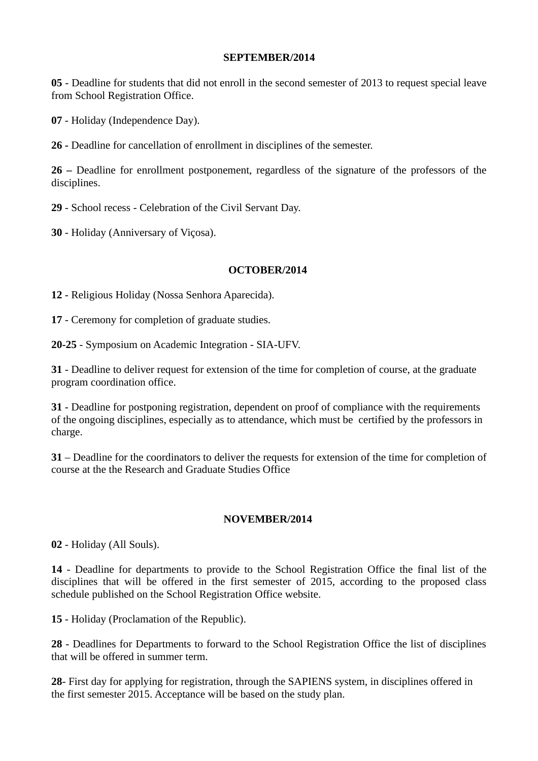#### **SEPTEMBER/2014**

**05** - Deadline for students that did not enroll in the second semester of 2013 to request special leave from School Registration Office.

**07** - Holiday (Independence Day).

**26 -** Deadline for cancellation of enrollment in disciplines of the semester.

**26 –** Deadline for enrollment postponement, regardless of the signature of the professors of the disciplines.

**29** - School recess - Celebration of the Civil Servant Day.

**30** - Holiday (Anniversary of Viçosa).

### **OCTOBER/2014**

**12** - Religious Holiday (Nossa Senhora Aparecida).

**17** - Ceremony for completion of graduate studies.

**20-25** - Symposium on Academic Integration - SIA-UFV.

**31** - Deadline to deliver request for extension of the time for completion of course, at the graduate program coordination office.

**31** - Deadline for postponing registration, dependent on proof of compliance with the requirements of the ongoing disciplines, especially as to attendance, which must be certified by the professors in charge.

**31** – Deadline for the coordinators to deliver the requests for extension of the time for completion of course at the the Research and Graduate Studies Office

### **NOVEMBER/2014**

**02** - Holiday (All Souls).

**14** - Deadline for departments to provide to the School Registration Office the final list of the disciplines that will be offered in the first semester of 2015, according to the proposed class schedule published on the School Registration Office website.

**15** - Holiday (Proclamation of the Republic).

**28** - Deadlines for Departments to forward to the School Registration Office the list of disciplines that will be offered in summer term.

**28**- First day for applying for registration, through the SAPIENS system, in disciplines offered in the first semester 2015. Acceptance will be based on the study plan.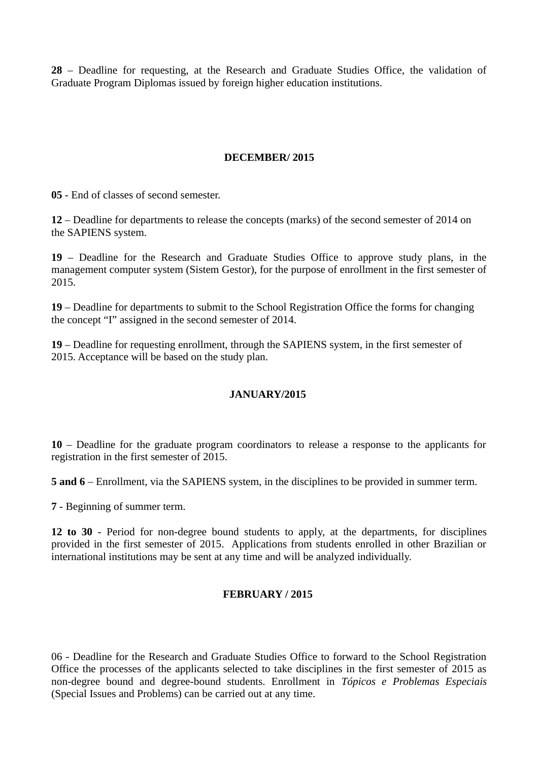**28** – Deadline for requesting, at the Research and Graduate Studies Office, the validation of Graduate Program Diplomas issued by foreign higher education institutions.

## **DECEMBER/ 2015**

**05** - End of classes of second semester.

**12** – Deadline for departments to release the concepts (marks) of the second semester of 2014 on the SAPIENS system.

**19** – Deadline for the Research and Graduate Studies Office to approve study plans, in the management computer system (Sistem Gestor), for the purpose of enrollment in the first semester of 2015.

**19** – Deadline for departments to submit to the School Registration Office the forms for changing the concept "I" assigned in the second semester of 2014.

**19** – Deadline for requesting enrollment, through the SAPIENS system, in the first semester of 2015. Acceptance will be based on the study plan.

### **JANUARY/2015**

**10** – Deadline for the graduate program coordinators to release a response to the applicants for registration in the first semester of 2015.

**5 and 6** – Enrollment, via the SAPIENS system, in the disciplines to be provided in summer term.

**7** - Beginning of summer term.

**12 to 30** - Period for non-degree bound students to apply, at the departments, for disciplines provided in the first semester of 2015. Applications from students enrolled in other Brazilian or international institutions may be sent at any time and will be analyzed individually.

### **FEBRUARY / 2015**

06 - Deadline for the Research and Graduate Studies Office to forward to the School Registration Office the processes of the applicants selected to take disciplines in the first semester of 2015 as non-degree bound and degree-bound students. Enrollment in *Tópicos e Problemas Especiais* (Special Issues and Problems) can be carried out at any time.